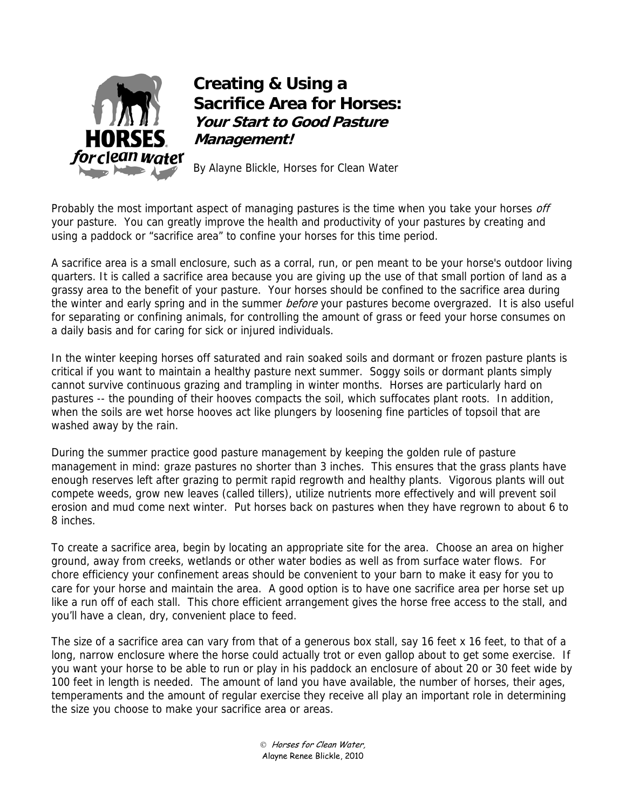

## **Creating & Using a Sacrifice Area for Horses: Your Start to Good Pasture Management!**

By Alayne Blickle, Horses for Clean Water

Probably the most important aspect of managing pastures is the time when you take your horses off your pasture. You can greatly improve the health and productivity of your pastures by creating and using a paddock or "sacrifice area" to confine your horses for this time period.

A sacrifice area is a small enclosure, such as a corral, run, or pen meant to be your horse's outdoor living quarters. It is called a sacrifice area because you are giving up the use of that small portion of land as a grassy area to the benefit of your pasture. Your horses should be confined to the sacrifice area during the winter and early spring and in the summer before your pastures become overgrazed. It is also useful for separating or confining animals, for controlling the amount of grass or feed your horse consumes on a daily basis and for caring for sick or injured individuals.

In the winter keeping horses off saturated and rain soaked soils and dormant or frozen pasture plants is critical if you want to maintain a healthy pasture next summer. Soggy soils or dormant plants simply cannot survive continuous grazing and trampling in winter months. Horses are particularly hard on pastures -- the pounding of their hooves compacts the soil, which suffocates plant roots. In addition, when the soils are wet horse hooves act like plungers by loosening fine particles of topsoil that are washed away by the rain.

During the summer practice good pasture management by keeping the golden rule of pasture management in mind: graze pastures no shorter than 3 inches. This ensures that the grass plants have enough reserves left after grazing to permit rapid regrowth and healthy plants. Vigorous plants will out compete weeds, grow new leaves (called tillers), utilize nutrients more effectively and will prevent soil erosion and mud come next winter. Put horses back on pastures when they have regrown to about 6 to 8 inches.

To create a sacrifice area, begin by locating an appropriate site for the area. Choose an area on higher ground, away from creeks, wetlands or other water bodies as well as from surface water flows. For chore efficiency your confinement areas should be convenient to your barn to make it easy for you to care for your horse and maintain the area. A good option is to have one sacrifice area per horse set up like a run off of each stall. This chore efficient arrangement gives the horse free access to the stall, and you'll have a clean, dry, convenient place to feed.

The size of a sacrifice area can vary from that of a generous box stall, say 16 feet x 16 feet, to that of a long, narrow enclosure where the horse could actually trot or even gallop about to get some exercise. If you want your horse to be able to run or play in his paddock an enclosure of about 20 or 30 feet wide by 100 feet in length is needed. The amount of land you have available, the number of horses, their ages, temperaments and the amount of regular exercise they receive all play an important role in determining the size you choose to make your sacrifice area or areas.

> Horses for Clean Water, Alayne Renee Blickle, 2010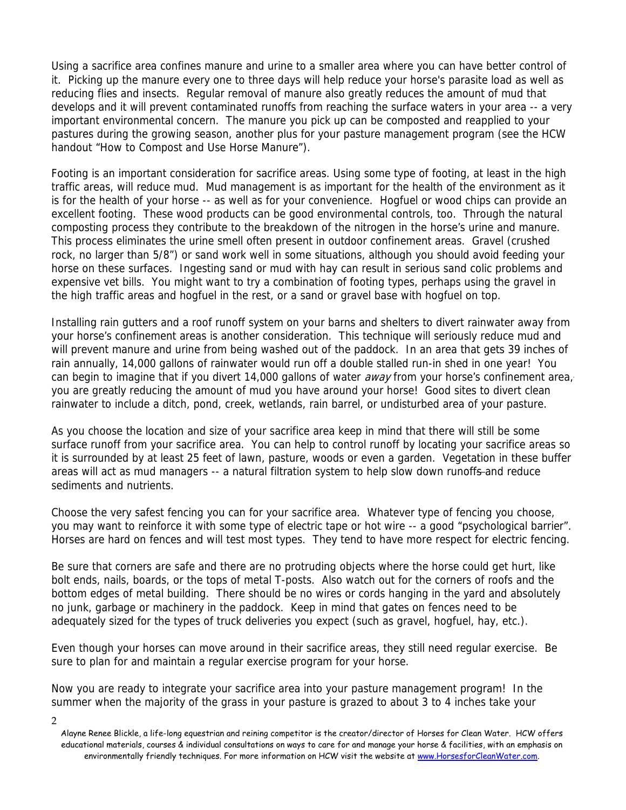Using a sacrifice area confines manure and urine to a smaller area where you can have better control of it. Picking up the manure every one to three days will help reduce your horse's parasite load as well as reducing flies and insects. Regular removal of manure also greatly reduces the amount of mud that develops and it will prevent contaminated runoffs from reaching the surface waters in your area -- a very important environmental concern. The manure you pick up can be composted and reapplied to your pastures during the growing season, another plus for your pasture management program (see the HCW handout "How to Compost and Use Horse Manure").

Footing is an important consideration for sacrifice areas. Using some type of footing, at least in the high traffic areas, will reduce mud. Mud management is as important for the health of the environment as it is for the health of your horse -- as well as for your convenience. Hogfuel or wood chips can provide an excellent footing. These wood products can be good environmental controls, too. Through the natural composting process they contribute to the breakdown of the nitrogen in the horse's urine and manure. This process eliminates the urine smell often present in outdoor confinement areas. Gravel (crushed rock, no larger than 5/8") or sand work well in some situations, although you should avoid feeding your horse on these surfaces. Ingesting sand or mud with hay can result in serious sand colic problems and expensive vet bills. You might want to try a combination of footing types, perhaps using the gravel in the high traffic areas and hogfuel in the rest, or a sand or gravel base with hogfuel on top.

Installing rain gutters and a roof runoff system on your barns and shelters to divert rainwater away from your horse's confinement areas is another consideration. This technique will seriously reduce mud and will prevent manure and urine from being washed out of the paddock. In an area that gets 39 inches of rain annually, 14,000 gallons of rainwater would run off a double stalled run-in shed in one year! You can begin to imagine that if you divert 14,000 gallons of water *away* from your horse's confinement area, you are greatly reducing the amount of mud you have around your horse! Good sites to divert clean rainwater to include a ditch, pond, creek, wetlands, rain barrel, or undisturbed area of your pasture.

As you choose the location and size of your sacrifice area keep in mind that there will still be some surface runoff from your sacrifice area. You can help to control runoff by locating your sacrifice areas so it is surrounded by at least 25 feet of lawn, pasture, woods or even a garden. Vegetation in these buffer areas will act as mud managers -- a natural filtration system to help slow down runoffs-and reduce sediments and nutrients.

Choose the very safest fencing you can for your sacrifice area. Whatever type of fencing you choose, you may want to reinforce it with some type of electric tape or hot wire -- a good "psychological barrier". Horses are hard on fences and will test most types. They tend to have more respect for electric fencing.

Be sure that corners are safe and there are no protruding objects where the horse could get hurt, like bolt ends, nails, boards, or the tops of metal T-posts. Also watch out for the corners of roofs and the bottom edges of metal building. There should be no wires or cords hanging in the yard and absolutely no junk, garbage or machinery in the paddock. Keep in mind that gates on fences need to be adequately sized for the types of truck deliveries you expect (such as gravel, hogfuel, hay, etc.).

Even though your horses can move around in their sacrifice areas, they still need regular exercise. Be sure to plan for and maintain a regular exercise program for your horse.

Now you are ready to integrate your sacrifice area into your pasture management program! In the summer when the majority of the grass in your pasture is grazed to about 3 to 4 inches take your

<sup>2</sup> 

Alayne Renee Blickle, a life-long equestrian and reining competitor is the creator/director of Horses for Clean Water. HCW offers educational materials, courses & individual consultations on ways to care for and manage your horse & facilities, with an emphasis on environmentally friendly techniques. For more information on HCW visit the website at www.HorsesforCleanWater.com.